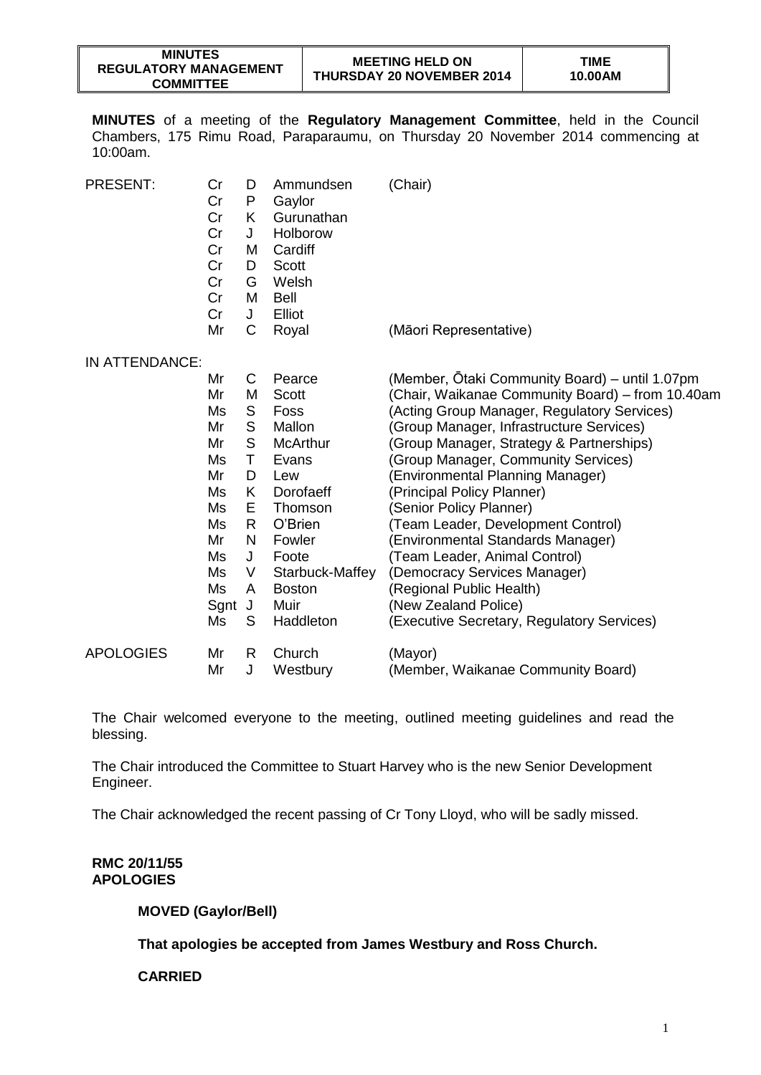| <b>MINUTES</b>               |  |  |  |  |  |
|------------------------------|--|--|--|--|--|
| <b>REGULATORY MANAGEMENT</b> |  |  |  |  |  |
| <b>COMMITTEE</b>             |  |  |  |  |  |

**MINUTES** of a meeting of the **Regulatory Management Committee**, held in the Council Chambers, 175 Rimu Road, Paraparaumu, on Thursday 20 November 2014 commencing at 10:00am.

| PRESENT:         | Cr<br>Cr<br>Cr<br>Cr<br>Cr<br>Cr<br>Cr<br>Cr<br>Cr<br>Mr | D<br>P<br>Κ<br>J<br>M<br>D<br>G<br>M<br>J<br>C | Ammundsen<br>Gaylor<br>Gurunathan<br>Holborow<br>Cardiff<br><b>Scott</b><br>Welsh<br><b>Bell</b><br>Elliot<br>Royal | (Chair)<br>(Māori Representative)                |
|------------------|----------------------------------------------------------|------------------------------------------------|---------------------------------------------------------------------------------------------------------------------|--------------------------------------------------|
| IN ATTENDANCE:   |                                                          |                                                |                                                                                                                     |                                                  |
|                  | Mr                                                       | C                                              | Pearce                                                                                                              | (Member, Otaki Community Board) – until 1.07pm   |
|                  | Mr                                                       | M                                              | <b>Scott</b>                                                                                                        | (Chair, Waikanae Community Board) - from 10.40am |
|                  | Ms                                                       | S                                              | Foss                                                                                                                | (Acting Group Manager, Regulatory Services)      |
|                  | Mr                                                       | S                                              | Mallon                                                                                                              | (Group Manager, Infrastructure Services)         |
|                  | Mr                                                       | S                                              | <b>McArthur</b>                                                                                                     | (Group Manager, Strategy & Partnerships)         |
|                  | Ms                                                       | Τ                                              | Evans                                                                                                               | (Group Manager, Community Services)              |
|                  | Mr                                                       | D                                              | Lew                                                                                                                 | (Environmental Planning Manager)                 |
|                  | Ms                                                       | K                                              | Dorofaeff                                                                                                           | (Principal Policy Planner)                       |
|                  | Ms                                                       | E.                                             | Thomson                                                                                                             | (Senior Policy Planner)                          |
|                  | Ms                                                       | R                                              | O'Brien                                                                                                             | (Team Leader, Development Control)               |
|                  | Mr                                                       | N                                              | Fowler                                                                                                              | (Environmental Standards Manager)                |
|                  | Ms                                                       | J                                              | Foote                                                                                                               | (Team Leader, Animal Control)                    |
|                  | Ms                                                       | V                                              | Starbuck-Maffey                                                                                                     | (Democracy Services Manager)                     |
|                  | Ms                                                       | A                                              | <b>Boston</b>                                                                                                       | (Regional Public Health)                         |
|                  | Sgnt                                                     | J                                              | Muir                                                                                                                | (New Zealand Police)                             |
|                  | Ms                                                       | S                                              | Haddleton                                                                                                           | (Executive Secretary, Regulatory Services)       |
| <b>APOLOGIES</b> | Mr                                                       | R.                                             | Church                                                                                                              | (Mayor)                                          |
|                  | Mr                                                       | J                                              | Westbury                                                                                                            | (Member, Waikanae Community Board)               |

The Chair welcomed everyone to the meeting, outlined meeting guidelines and read the blessing.

The Chair introduced the Committee to Stuart Harvey who is the new Senior Development Engineer.

The Chair acknowledged the recent passing of Cr Tony Lloyd, who will be sadly missed.

#### **RMC 20/11/55 APOLOGIES**

**MOVED (Gaylor/Bell)**

**That apologies be accepted from James Westbury and Ross Church.** 

## **CARRIED**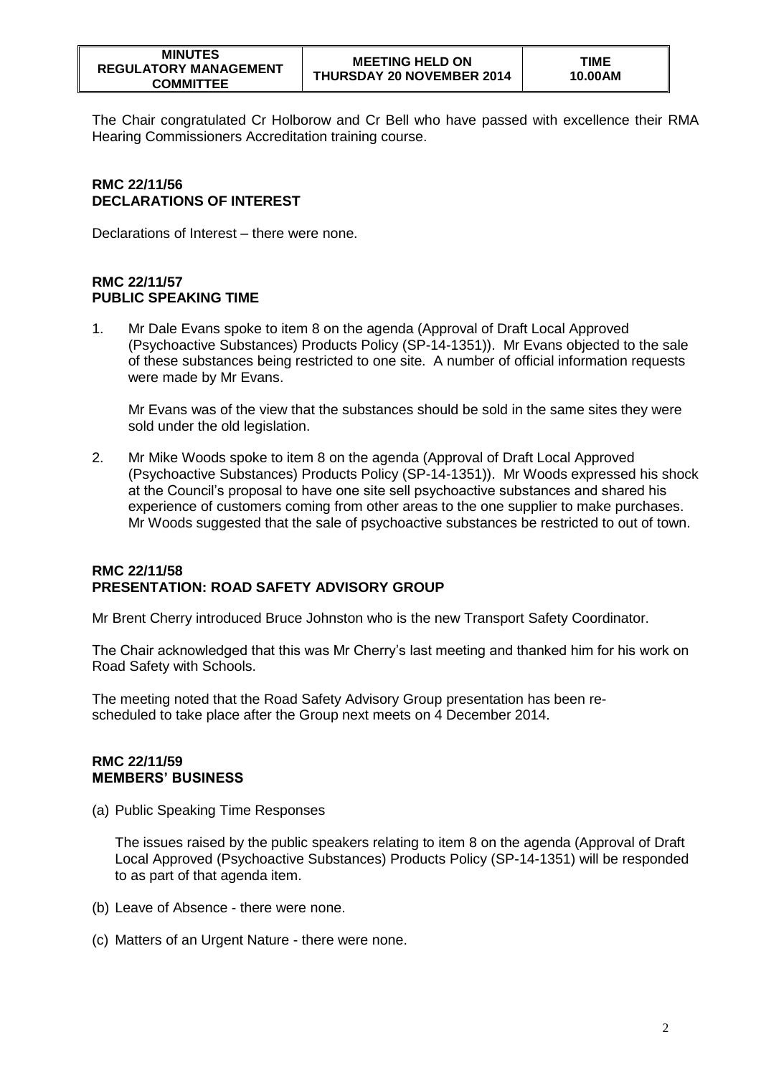The Chair congratulated Cr Holborow and Cr Bell who have passed with excellence their RMA Hearing Commissioners Accreditation training course.

# **RMC 22/11/56 DECLARATIONS OF INTEREST**

Declarations of Interest – there were none.

# **RMC 22/11/57 PUBLIC SPEAKING TIME**

1. Mr Dale Evans spoke to item 8 on the agenda (Approval of Draft Local Approved (Psychoactive Substances) Products Policy (SP-14-1351)). Mr Evans objected to the sale of these substances being restricted to one site. A number of official information requests were made by Mr Evans.

Mr Evans was of the view that the substances should be sold in the same sites they were sold under the old legislation.

2. Mr Mike Woods spoke to item 8 on the agenda (Approval of Draft Local Approved (Psychoactive Substances) Products Policy (SP-14-1351)). Mr Woods expressed his shock at the Council's proposal to have one site sell psychoactive substances and shared his experience of customers coming from other areas to the one supplier to make purchases. Mr Woods suggested that the sale of psychoactive substances be restricted to out of town.

## **RMC 22/11/58 PRESENTATION: ROAD SAFETY ADVISORY GROUP**

Mr Brent Cherry introduced Bruce Johnston who is the new Transport Safety Coordinator.

The Chair acknowledged that this was Mr Cherry's last meeting and thanked him for his work on Road Safety with Schools.

The meeting noted that the Road Safety Advisory Group presentation has been rescheduled to take place after the Group next meets on 4 December 2014.

## **RMC 22/11/59 MEMBERS' BUSINESS**

(a) Public Speaking Time Responses

The issues raised by the public speakers relating to item 8 on the agenda (Approval of Draft Local Approved (Psychoactive Substances) Products Policy (SP-14-1351) will be responded to as part of that agenda item.

- (b) Leave of Absence there were none.
- (c) Matters of an Urgent Nature there were none.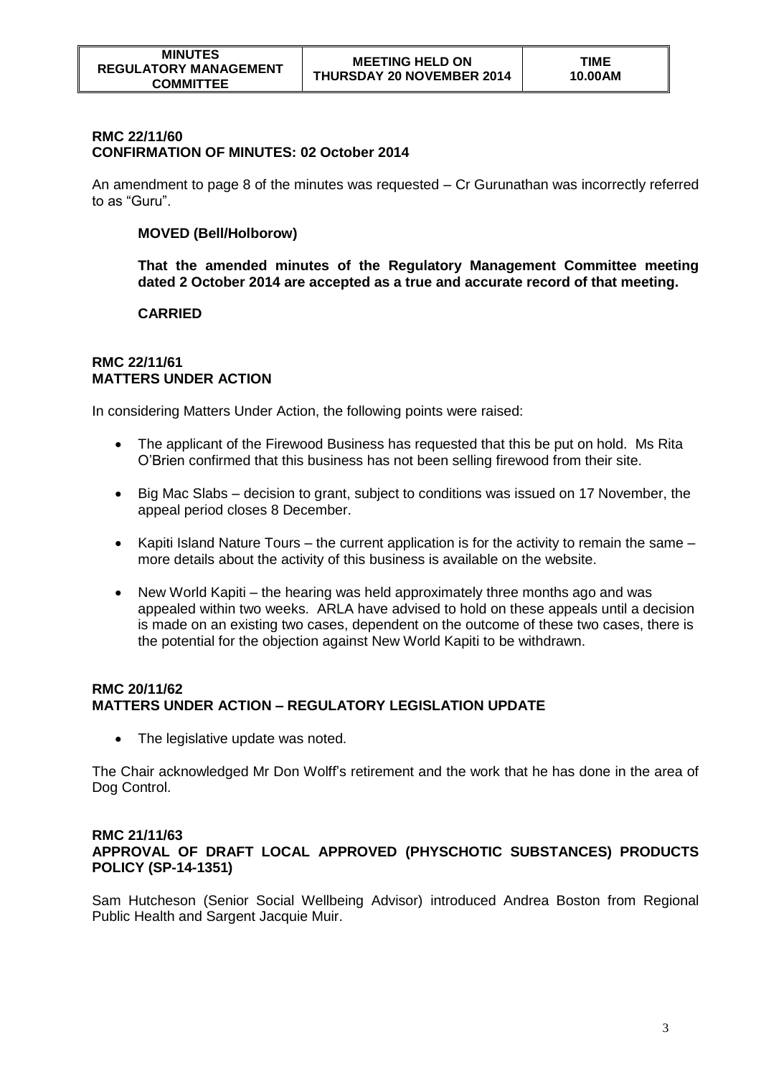#### **RMC 22/11/60 CONFIRMATION OF MINUTES: 02 October 2014**

An amendment to page 8 of the minutes was requested – Cr Gurunathan was incorrectly referred to as "Guru".

# **MOVED (Bell/Holborow)**

**That the amended minutes of the Regulatory Management Committee meeting dated 2 October 2014 are accepted as a true and accurate record of that meeting.** 

# **CARRIED**

#### **RMC 22/11/61 MATTERS UNDER ACTION**

In considering Matters Under Action, the following points were raised:

- The applicant of the Firewood Business has requested that this be put on hold. Ms Rita O'Brien confirmed that this business has not been selling firewood from their site.
- Big Mac Slabs decision to grant, subject to conditions was issued on 17 November, the appeal period closes 8 December.
- Kapiti Island Nature Tours the current application is for the activity to remain the same more details about the activity of this business is available on the website.
- New World Kapiti the hearing was held approximately three months ago and was appealed within two weeks. ARLA have advised to hold on these appeals until a decision is made on an existing two cases, dependent on the outcome of these two cases, there is the potential for the objection against New World Kapiti to be withdrawn.

# **RMC 20/11/62 MATTERS UNDER ACTION – REGULATORY LEGISLATION UPDATE**

• The legislative update was noted.

The Chair acknowledged Mr Don Wolff's retirement and the work that he has done in the area of Dog Control.

# **RMC 21/11/63 APPROVAL OF DRAFT LOCAL APPROVED (PHYSCHOTIC SUBSTANCES) PRODUCTS POLICY (SP-14-1351)**

Sam Hutcheson (Senior Social Wellbeing Advisor) introduced Andrea Boston from Regional Public Health and Sargent Jacquie Muir.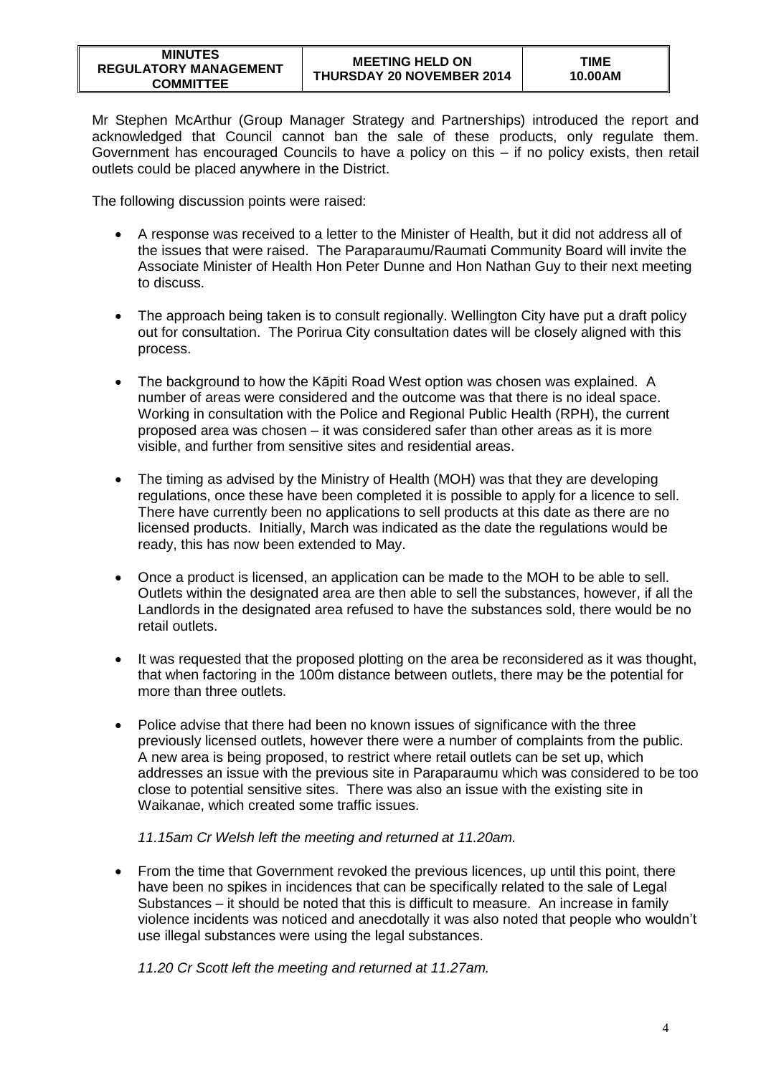| <b>MINUTES</b>               |  |  |  |  |  |
|------------------------------|--|--|--|--|--|
| <b>REGULATORY MANAGEMENT</b> |  |  |  |  |  |
| <b>COMMITTEE</b>             |  |  |  |  |  |

Mr Stephen McArthur (Group Manager Strategy and Partnerships) introduced the report and acknowledged that Council cannot ban the sale of these products, only regulate them. Government has encouraged Councils to have a policy on this – if no policy exists, then retail outlets could be placed anywhere in the District.

The following discussion points were raised:

- A response was received to a letter to the Minister of Health, but it did not address all of the issues that were raised. The Paraparaumu/Raumati Community Board will invite the Associate Minister of Health Hon Peter Dunne and Hon Nathan Guy to their next meeting to discuss.
- The approach being taken is to consult regionally. Wellington City have put a draft policy out for consultation. The Porirua City consultation dates will be closely aligned with this process.
- The background to how the Kāpiti Road West option was chosen was explained. A number of areas were considered and the outcome was that there is no ideal space. Working in consultation with the Police and Regional Public Health (RPH), the current proposed area was chosen – it was considered safer than other areas as it is more visible, and further from sensitive sites and residential areas.
- The timing as advised by the Ministry of Health (MOH) was that they are developing regulations, once these have been completed it is possible to apply for a licence to sell. There have currently been no applications to sell products at this date as there are no licensed products. Initially, March was indicated as the date the regulations would be ready, this has now been extended to May.
- Once a product is licensed, an application can be made to the MOH to be able to sell. Outlets within the designated area are then able to sell the substances, however, if all the Landlords in the designated area refused to have the substances sold, there would be no retail outlets.
- It was requested that the proposed plotting on the area be reconsidered as it was thought, that when factoring in the 100m distance between outlets, there may be the potential for more than three outlets.
- Police advise that there had been no known issues of significance with the three previously licensed outlets, however there were a number of complaints from the public. A new area is being proposed, to restrict where retail outlets can be set up, which addresses an issue with the previous site in Paraparaumu which was considered to be too close to potential sensitive sites. There was also an issue with the existing site in Waikanae, which created some traffic issues.

*11.15am Cr Welsh left the meeting and returned at 11.20am.* 

 From the time that Government revoked the previous licences, up until this point, there have been no spikes in incidences that can be specifically related to the sale of Legal Substances – it should be noted that this is difficult to measure. An increase in family violence incidents was noticed and anecdotally it was also noted that people who wouldn't use illegal substances were using the legal substances.

*11.20 Cr Scott left the meeting and returned at 11.27am.*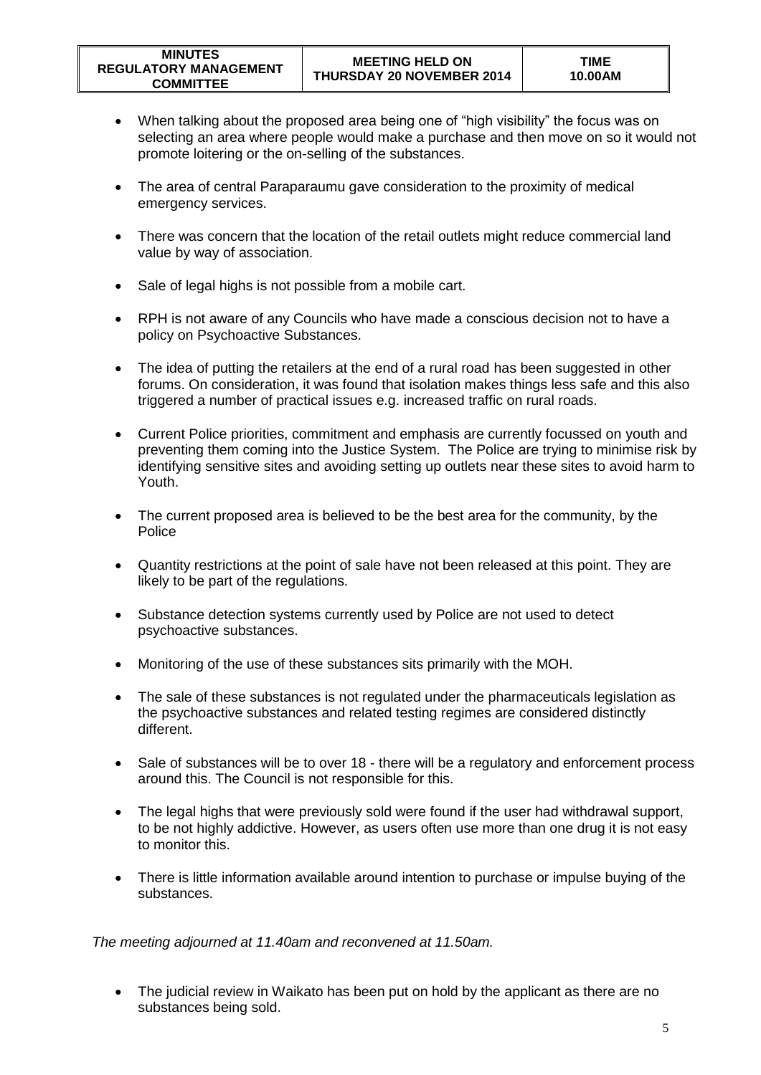- When talking about the proposed area being one of "high visibility" the focus was on selecting an area where people would make a purchase and then move on so it would not promote loitering or the on-selling of the substances.
- The area of central Paraparaumu gave consideration to the proximity of medical emergency services.
- There was concern that the location of the retail outlets might reduce commercial land value by way of association.
- Sale of legal highs is not possible from a mobile cart.
- RPH is not aware of any Councils who have made a conscious decision not to have a policy on Psychoactive Substances.
- The idea of putting the retailers at the end of a rural road has been suggested in other forums. On consideration, it was found that isolation makes things less safe and this also triggered a number of practical issues e.g. increased traffic on rural roads.
- Current Police priorities, commitment and emphasis are currently focussed on youth and preventing them coming into the Justice System. The Police are trying to minimise risk by identifying sensitive sites and avoiding setting up outlets near these sites to avoid harm to Youth.
- The current proposed area is believed to be the best area for the community, by the Police
- Quantity restrictions at the point of sale have not been released at this point. They are likely to be part of the regulations.
- Substance detection systems currently used by Police are not used to detect psychoactive substances.
- Monitoring of the use of these substances sits primarily with the MOH.
- The sale of these substances is not regulated under the pharmaceuticals legislation as the psychoactive substances and related testing regimes are considered distinctly different.
- Sale of substances will be to over 18 there will be a regulatory and enforcement process around this. The Council is not responsible for this.
- The legal highs that were previously sold were found if the user had withdrawal support, to be not highly addictive. However, as users often use more than one drug it is not easy to monitor this.
- There is little information available around intention to purchase or impulse buying of the substances.

*The meeting adjourned at 11.40am and reconvened at 11.50am.*

• The judicial review in Waikato has been put on hold by the applicant as there are no substances being sold.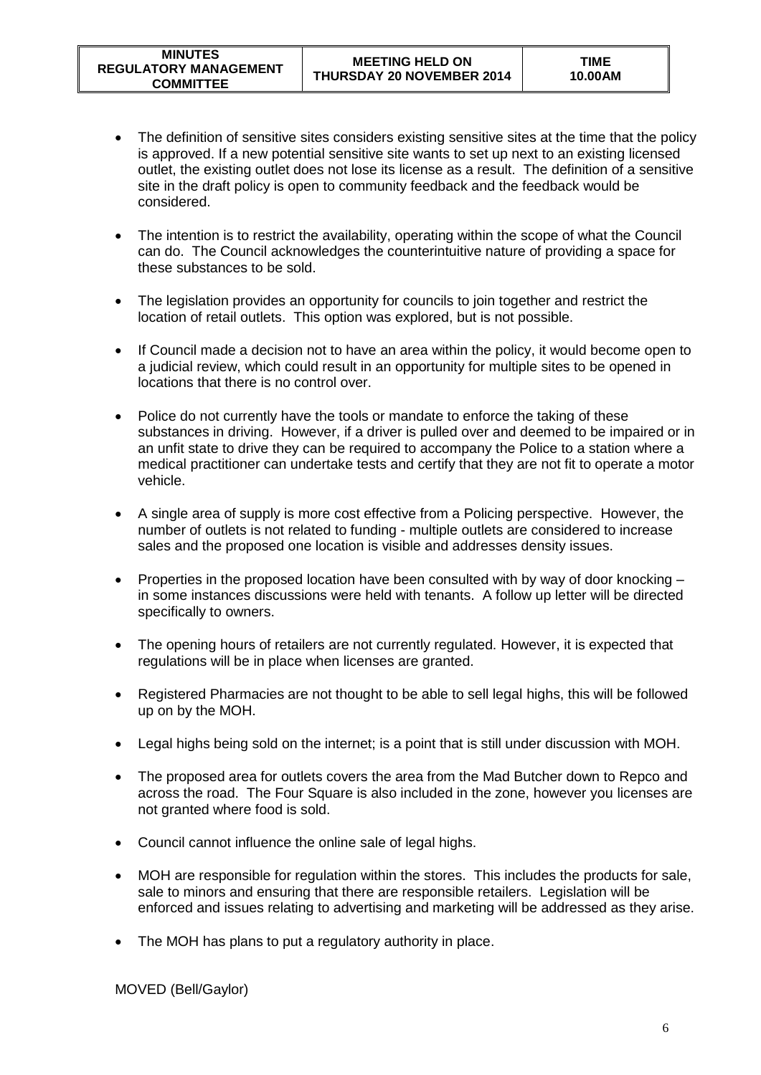- The definition of sensitive sites considers existing sensitive sites at the time that the policy is approved. If a new potential sensitive site wants to set up next to an existing licensed outlet, the existing outlet does not lose its license as a result. The definition of a sensitive site in the draft policy is open to community feedback and the feedback would be considered.
- The intention is to restrict the availability, operating within the scope of what the Council can do. The Council acknowledges the counterintuitive nature of providing a space for these substances to be sold.
- The legislation provides an opportunity for councils to join together and restrict the location of retail outlets. This option was explored, but is not possible.
- If Council made a decision not to have an area within the policy, it would become open to a judicial review, which could result in an opportunity for multiple sites to be opened in locations that there is no control over.
- Police do not currently have the tools or mandate to enforce the taking of these substances in driving. However, if a driver is pulled over and deemed to be impaired or in an unfit state to drive they can be required to accompany the Police to a station where a medical practitioner can undertake tests and certify that they are not fit to operate a motor vehicle.
- A single area of supply is more cost effective from a Policing perspective. However, the number of outlets is not related to funding - multiple outlets are considered to increase sales and the proposed one location is visible and addresses density issues.
- Properties in the proposed location have been consulted with by way of door knocking in some instances discussions were held with tenants. A follow up letter will be directed specifically to owners.
- The opening hours of retailers are not currently regulated. However, it is expected that regulations will be in place when licenses are granted.
- Registered Pharmacies are not thought to be able to sell legal highs, this will be followed up on by the MOH.
- Legal highs being sold on the internet; is a point that is still under discussion with MOH.
- The proposed area for outlets covers the area from the Mad Butcher down to Repco and across the road. The Four Square is also included in the zone, however you licenses are not granted where food is sold.
- Council cannot influence the online sale of legal highs.
- MOH are responsible for regulation within the stores. This includes the products for sale, sale to minors and ensuring that there are responsible retailers. Legislation will be enforced and issues relating to advertising and marketing will be addressed as they arise.
- The MOH has plans to put a regulatory authority in place.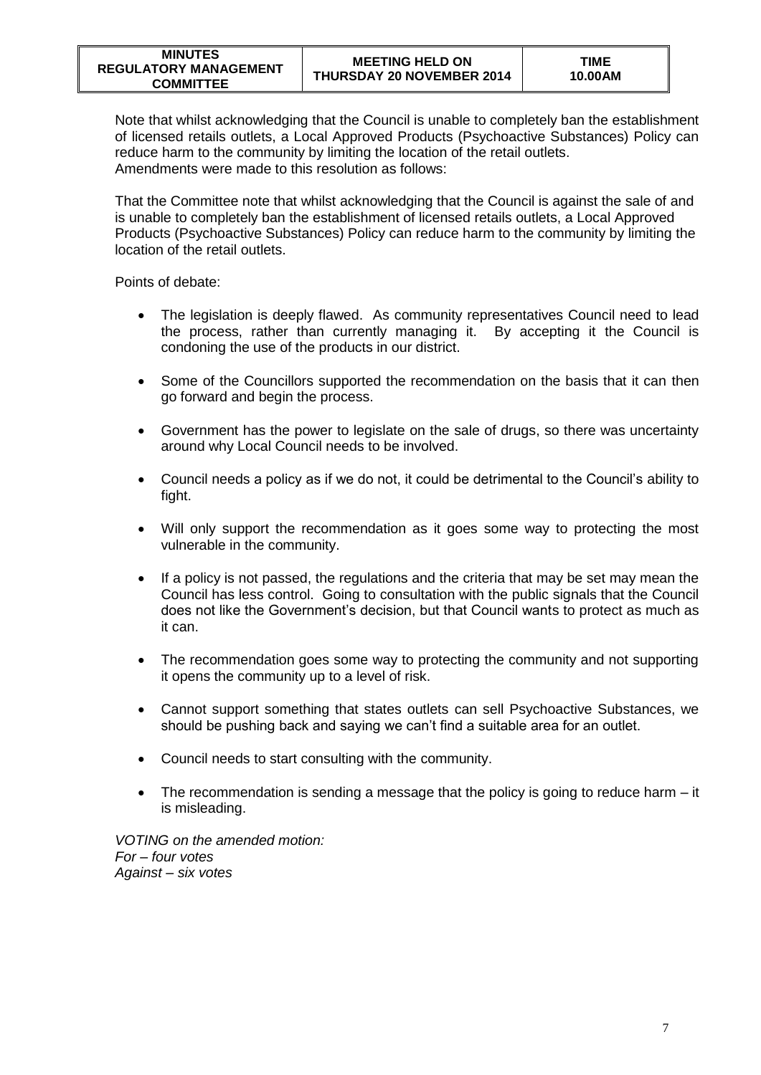Note that whilst acknowledging that the Council is unable to completely ban the establishment of licensed retails outlets, a Local Approved Products (Psychoactive Substances) Policy can reduce harm to the community by limiting the location of the retail outlets. Amendments were made to this resolution as follows:

That the Committee note that whilst acknowledging that the Council is against the sale of and is unable to completely ban the establishment of licensed retails outlets, a Local Approved Products (Psychoactive Substances) Policy can reduce harm to the community by limiting the location of the retail outlets.

Points of debate:

- The legislation is deeply flawed. As community representatives Council need to lead the process, rather than currently managing it. By accepting it the Council is condoning the use of the products in our district.
- Some of the Councillors supported the recommendation on the basis that it can then go forward and begin the process.
- Government has the power to legislate on the sale of drugs, so there was uncertainty around why Local Council needs to be involved.
- Council needs a policy as if we do not, it could be detrimental to the Council's ability to fight.
- Will only support the recommendation as it goes some way to protecting the most vulnerable in the community.
- If a policy is not passed, the regulations and the criteria that may be set may mean the Council has less control. Going to consultation with the public signals that the Council does not like the Government's decision, but that Council wants to protect as much as it can.
- The recommendation goes some way to protecting the community and not supporting it opens the community up to a level of risk.
- Cannot support something that states outlets can sell Psychoactive Substances, we should be pushing back and saying we can't find a suitable area for an outlet.
- Council needs to start consulting with the community.
- The recommendation is sending a message that the policy is going to reduce harm it is misleading.

*VOTING on the amended motion: For – four votes Against – six votes*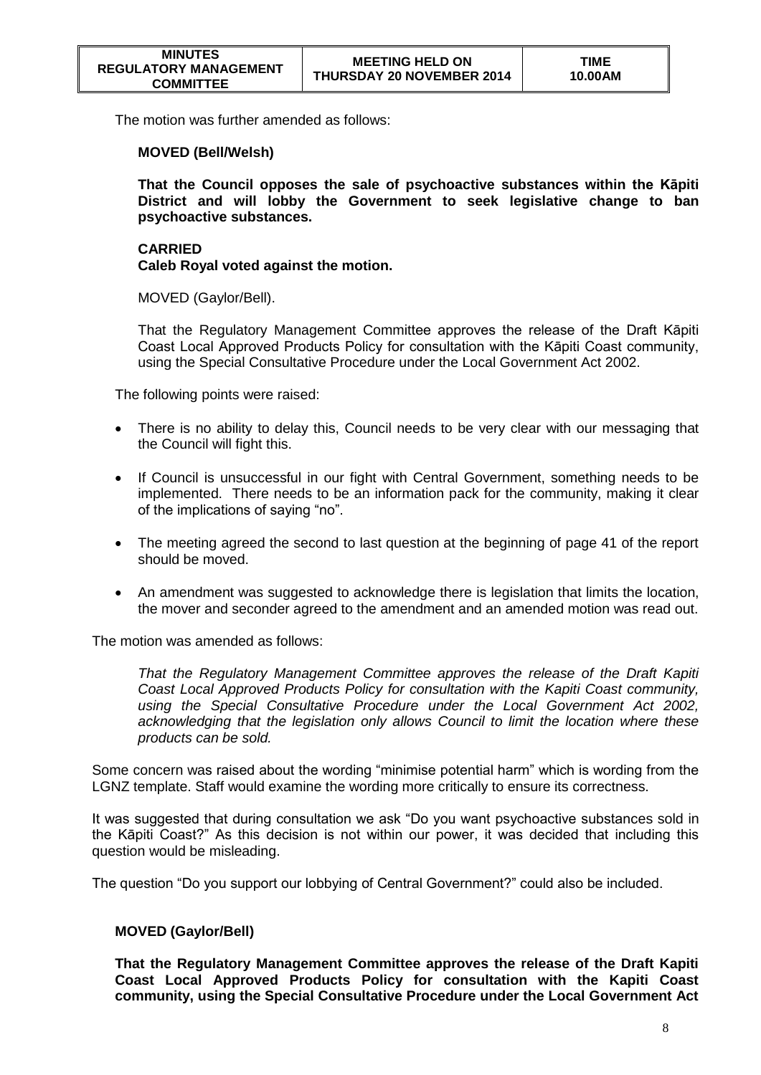The motion was further amended as follows:

#### **MOVED (Bell/Welsh)**

**That the Council opposes the sale of psychoactive substances within the Kāpiti District and will lobby the Government to seek legislative change to ban psychoactive substances.**

#### **CARRIED Caleb Royal voted against the motion.**

MOVED (Gaylor/Bell).

That the Regulatory Management Committee approves the release of the Draft Kāpiti Coast Local Approved Products Policy for consultation with the Kāpiti Coast community, using the Special Consultative Procedure under the Local Government Act 2002.

The following points were raised:

- There is no ability to delay this, Council needs to be very clear with our messaging that the Council will fight this.
- If Council is unsuccessful in our fight with Central Government, something needs to be implemented. There needs to be an information pack for the community, making it clear of the implications of saying "no".
- The meeting agreed the second to last question at the beginning of page 41 of the report should be moved.
- An amendment was suggested to acknowledge there is legislation that limits the location, the mover and seconder agreed to the amendment and an amended motion was read out.

The motion was amended as follows:

*That the Regulatory Management Committee approves the release of the Draft Kapiti Coast Local Approved Products Policy for consultation with the Kapiti Coast community,*  using the Special Consultative Procedure under the Local Government Act 2002, *acknowledging that the legislation only allows Council to limit the location where these products can be sold.*

Some concern was raised about the wording "minimise potential harm" which is wording from the LGNZ template. Staff would examine the wording more critically to ensure its correctness.

It was suggested that during consultation we ask "Do you want psychoactive substances sold in the Kāpiti Coast?" As this decision is not within our power, it was decided that including this question would be misleading.

The question "Do you support our lobbying of Central Government?" could also be included.

## **MOVED (Gaylor/Bell)**

**That the Regulatory Management Committee approves the release of the Draft Kapiti Coast Local Approved Products Policy for consultation with the Kapiti Coast community, using the Special Consultative Procedure under the Local Government Act**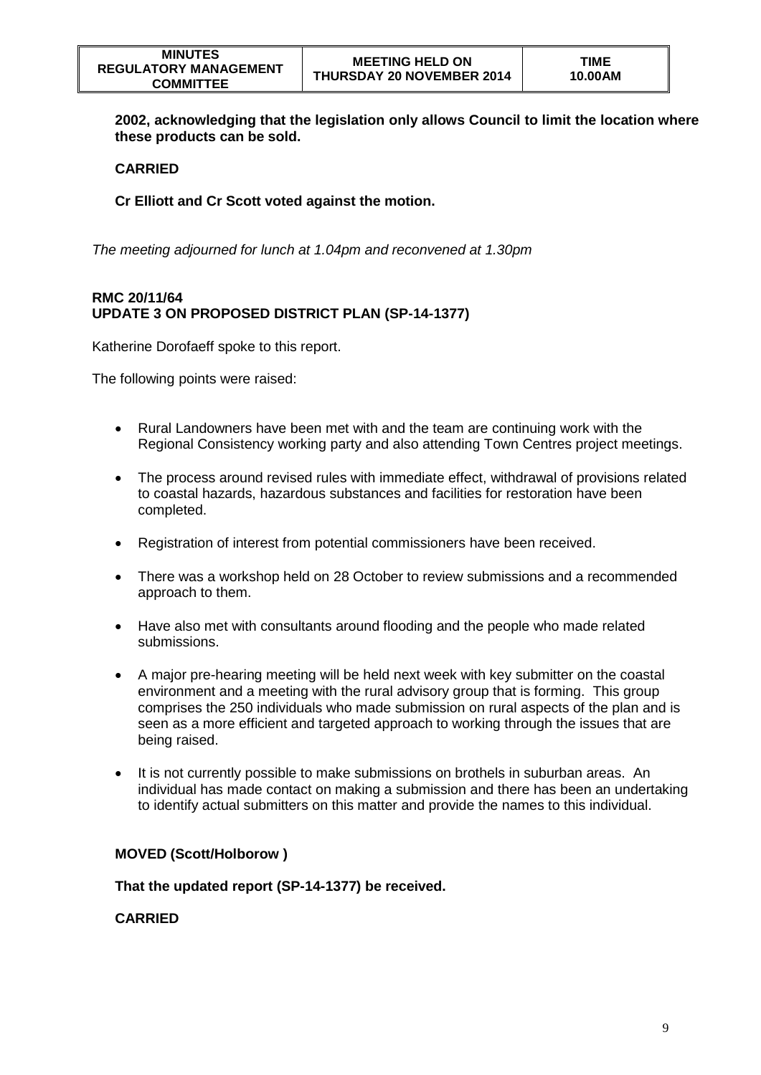**2002, acknowledging that the legislation only allows Council to limit the location where these products can be sold.**

## **CARRIED**

**Cr Elliott and Cr Scott voted against the motion.**

*The meeting adjourned for lunch at 1.04pm and reconvened at 1.30pm*

## **RMC 20/11/64 UPDATE 3 ON PROPOSED DISTRICT PLAN (SP-14-1377)**

Katherine Dorofaeff spoke to this report.

The following points were raised:

- Rural Landowners have been met with and the team are continuing work with the Regional Consistency working party and also attending Town Centres project meetings.
- The process around revised rules with immediate effect, withdrawal of provisions related to coastal hazards, hazardous substances and facilities for restoration have been completed.
- Registration of interest from potential commissioners have been received.
- There was a workshop held on 28 October to review submissions and a recommended approach to them.
- Have also met with consultants around flooding and the people who made related submissions.
- A major pre-hearing meeting will be held next week with key submitter on the coastal environment and a meeting with the rural advisory group that is forming. This group comprises the 250 individuals who made submission on rural aspects of the plan and is seen as a more efficient and targeted approach to working through the issues that are being raised.
- It is not currently possible to make submissions on brothels in suburban areas. An individual has made contact on making a submission and there has been an undertaking to identify actual submitters on this matter and provide the names to this individual.

## **MOVED (Scott/Holborow )**

## **That the updated report (SP-14-1377) be received.**

#### **CARRIED**